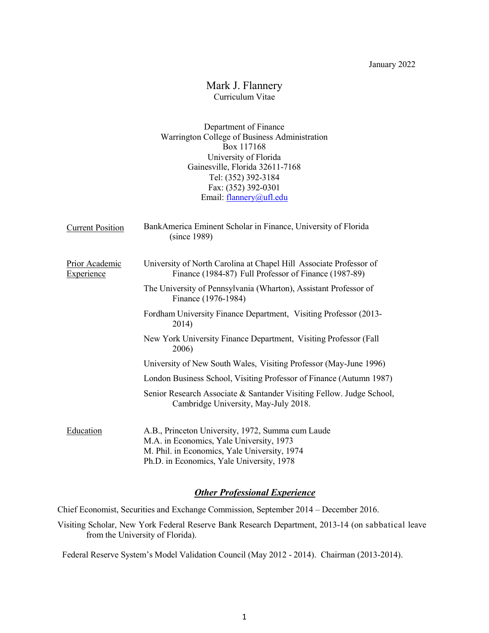# Mark J. Flannery Curriculum Vitae

Department of Finance Warrington College of Business Administration Box 117168 University of Florida Gainesville, Florida 32611-7168 Tel: (352) 392-3184 Fax: (352) 392-0301 Email: flannery@ufl.edu

| <b>Current Position</b>             | BankAmerica Eminent Scholar in Finance, University of Florida<br>(since 1989)                                                                 |
|-------------------------------------|-----------------------------------------------------------------------------------------------------------------------------------------------|
| Prior Academic<br><b>Experience</b> | University of North Carolina at Chapel Hill Associate Professor of<br>Finance (1984-87) Full Professor of Finance (1987-89)                   |
|                                     | The University of Pennsylvania (Wharton), Assistant Professor of<br>Finance (1976-1984)                                                       |
|                                     | Fordham University Finance Department, Visiting Professor (2013-<br>2014)                                                                     |
|                                     | New York University Finance Department, Visiting Professor (Fall<br>2006)                                                                     |
|                                     | University of New South Wales, Visiting Professor (May-June 1996)                                                                             |
|                                     | London Business School, Visiting Professor of Finance (Autumn 1987)                                                                           |
|                                     | Senior Research Associate & Santander Visiting Fellow. Judge School,<br>Cambridge University, May-July 2018.                                  |
| Education                           | A.B., Princeton University, 1972, Summa cum Laude<br>M.A. in Economics, Yale University, 1973<br>M. Phil. in Economics, Yale University, 1974 |

# Ph.D. in Economics, Yale University, 1978

# **Other Professional Experience**

Chief Economist, Securities and Exchange Commission, September 2014 – December 2016.

Visiting Scholar, New York Federal Reserve Bank Research Department, 2013-14 (on sabbatical leave from the University of Florida).

Federal Reserve System's Model Validation Council (May 2012 - 2014). Chairman (2013-2014).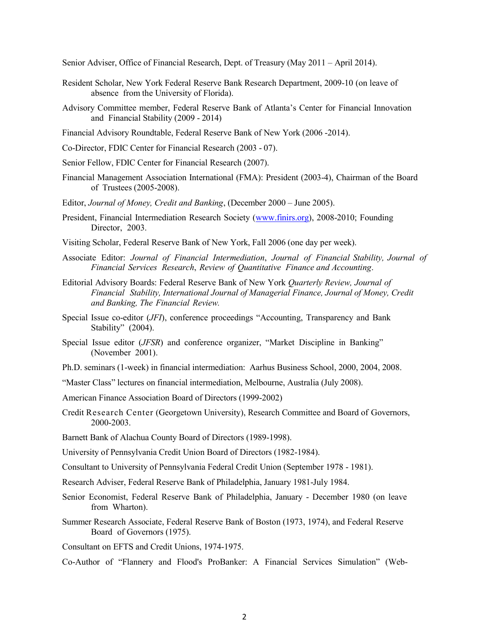Senior Adviser, Office of Financial Research, Dept. of Treasury (May 2011 – April 2014).

- Resident Scholar, New York Federal Reserve Bank Research Department, 2009-10 (on leave of absence from the University of Florida).
- Advisory Committee member, Federal Reserve Bank of Atlanta's Center for Financial Innovation and Financial Stability (2009 - 2014)
- Financial Advisory Roundtable, Federal Reserve Bank of New York (2006 -2014).
- Co-Director, FDIC Center for Financial Research (2003 07).
- Senior Fellow, FDIC Center for Financial Research (2007).
- Financial Management Association International (FMA): President (2003-4), Chairman of the Board of Trustees (2005-2008).
- Editor, Journal of Money, Credit and Banking, (December 2000 June 2005).
- President, Financial Intermediation Research Society (www.finirs.org), 2008-2010; Founding Director, 2003.
- Visiting Scholar, Federal Reserve Bank of New York, Fall 2006 (one day per week).
- Associate Editor: Journal of Financial Intermediation, Journal of Financial Stability, Journal of Financial Services Research, Review of Quantitative Finance and Accounting.
- Editorial Advisory Boards: Federal Reserve Bank of New York Quarterly Review, Journal of Financial Stability, International Journal of Managerial Finance, Journal of Money, Credit and Banking, The Financial Review.
- Special Issue co-editor (JFI), conference proceedings "Accounting, Transparency and Bank Stability" (2004).
- Special Issue editor (JFSR) and conference organizer, "Market Discipline in Banking" (November 2001).
- Ph.D. seminars (1-week) in financial intermediation: Aarhus Business School, 2000, 2004, 2008.
- "Master Class" lectures on financial intermediation, Melbourne, Australia (July 2008).
- American Finance Association Board of Directors (1999-2002)
- Credit Research Center (Georgetown University), Research Committee and Board of Governors, 2000-2003.
- Barnett Bank of Alachua County Board of Directors (1989-1998).
- University of Pennsylvania Credit Union Board of Directors (1982-1984).
- Consultant to University of Pennsylvania Federal Credit Union (September 1978 1981).
- Research Adviser, Federal Reserve Bank of Philadelphia, January 1981-July 1984.
- Senior Economist, Federal Reserve Bank of Philadelphia, January December 1980 (on leave from Wharton).
- Summer Research Associate, Federal Reserve Bank of Boston (1973, 1974), and Federal Reserve Board of Governors (1975).
- Consultant on EFTS and Credit Unions, 1974-1975.
- Co-Author of "Flannery and Flood's ProBanker: A Financial Services Simulation" (Web-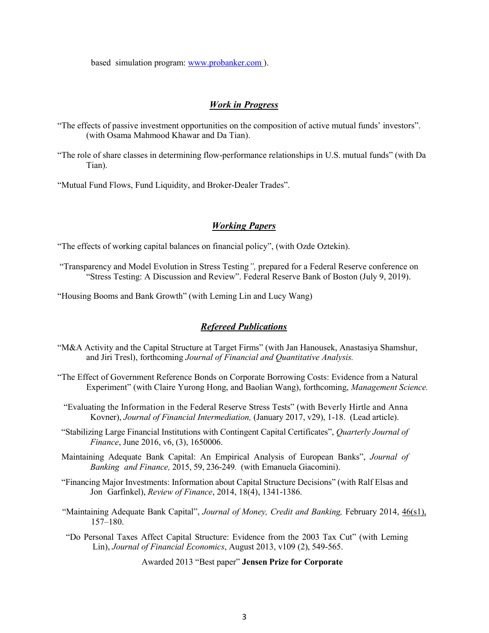based simulation program: www.probanker.com ).

#### Work in Progress

- "The effects of passive investment opportunities on the composition of active mutual funds' investors". (with Osama Mahmood Khawar and Da Tian).
- "The role of share classes in determining flow-performance relationships in U.S. mutual funds" (with Da Tian).

"Mutual Fund Flows, Fund Liquidity, and Broker-Dealer Trades".

## Working Papers

"The effects of working capital balances on financial policy", (with Ozde Oztekin).

- "Transparency and Model Evolution in Stress Testing", prepared for a Federal Reserve conference on "Stress Testing: A Discussion and Review". Federal Reserve Bank of Boston (July 9, 2019).
- "Housing Booms and Bank Growth" (with Leming Lin and Lucy Wang)

#### Refereed Publications

- "M&A Activity and the Capital Structure at Target Firms" (with Jan Hanousek, Anastasiya Shamshur, and Jiri Tresl), forthcoming Journal of Financial and Quantitative Analysis.
- "The Effect of Government Reference Bonds on Corporate Borrowing Costs: Evidence from a Natural Experiment" (with Claire Yurong Hong, and Baolian Wang), forthcoming, Management Science.
	- "Evaluating the Information in the Federal Reserve Stress Tests" (with Beverly Hirtle and Anna Kovner), Journal of Financial Intermediation, (January 2017, v29), 1-18. (Lead article).
- "Stabilizing Large Financial Institutions with Contingent Capital Certificates", Quarterly Journal of Finance, June 2016, v6, (3), 1650006.
- Maintaining Adequate Bank Capital: An Empirical Analysis of European Banks", Journal of Banking and Finance, 2015, 59, 236-249. (with Emanuela Giacomini).
- "Financing Major Investments: Information about Capital Structure Decisions" (with Ralf Elsas and Jon Garfinkel), Review of Finance, 2014, 18(4), 1341-1386.
- "Maintaining Adequate Bank Capital", Journal of Money, Credit and Banking, February 2014, 46(s1), 157–180.
- "Do Personal Taxes Affect Capital Structure: Evidence from the 2003 Tax Cut" (with Leming Lin), Journal of Financial Economics, August 2013, v109 (2), 549-565.

Awarded 2013 "Best paper" Jensen Prize for Corporate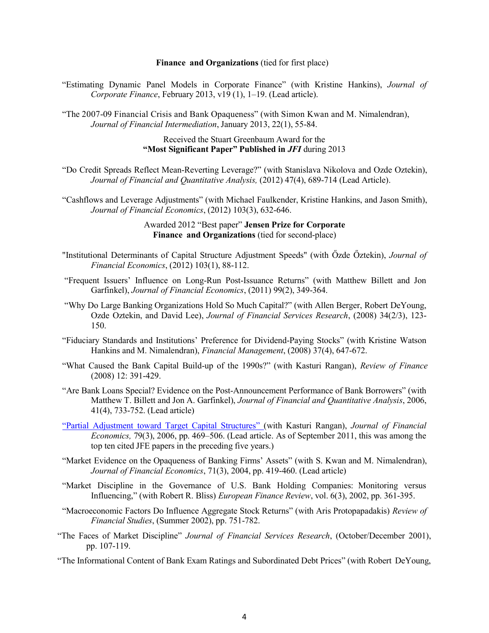#### Finance and Organizations (tied for first place)

"Estimating Dynamic Panel Models in Corporate Finance" (with Kristine Hankins), Journal of Corporate Finance, February 2013, v19 (1), 1-19. (Lead article).

"The 2007-09 Financial Crisis and Bank Opaqueness" (with Simon Kwan and M. Nimalendran), Journal of Financial Intermediation, January 2013, 22(1), 55-84.

#### Received the Stuart Greenbaum Award for the "Most Significant Paper" Published in JFI during 2013

"Do Credit Spreads Reflect Mean-Reverting Leverage?" (with Stanislava Nikolova and Ozde Oztekin), Journal of Financial and Quantitative Analysis, (2012) 47(4), 689-714 (Lead Article).

"Cashflows and Leverage Adjustments" (with Michael Faulkender, Kristine Hankins, and Jason Smith), Journal of Financial Economics, (2012) 103(3), 632-646.

### Awarded 2012 "Best paper" Jensen Prize for Corporate Finance and Organizations (tied for second-place)

- "Institutional Determinants of Capital Structure Adjustment Speeds" (with Özde Öztekin), Journal of Financial Economics, (2012) 103(1), 88-112.
- "Frequent Issuers' Influence on Long-Run Post-Issuance Returns" (with Matthew Billett and Jon Garfinkel), Journal of Financial Economics, (2011) 99(2), 349-364.
- "Why Do Large Banking Organizations Hold So Much Capital?" (with Allen Berger, Robert DeYoung, Ozde Oztekin, and David Lee), Journal of Financial Services Research, (2008) 34(2/3), 123- 150.
- "Fiduciary Standards and Institutions' Preference for Dividend-Paying Stocks" (with Kristine Watson Hankins and M. Nimalendran), Financial Management, (2008) 37(4), 647-672.
- "What Caused the Bank Capital Build-up of the 1990s?" (with Kasturi Rangan), Review of Finance (2008) 12: 391-429.
- "Are Bank Loans Special? Evidence on the Post-Announcement Performance of Bank Borrowers" (with Matthew T. Billett and Jon A. Garfinkel), Journal of Financial and Quantitative Analysis, 2006, 41(4), 733-752. (Lead article)
- "Partial Adjustment toward Target Capital Structures" (with Kasturi Rangan), Journal of Financial Economics, 79(3), 2006, pp. 469–506. (Lead article. As of September 2011, this was among the top ten cited JFE papers in the preceding five years.)
- "Market Evidence on the Opaqueness of Banking Firms' Assets" (with S. Kwan and M. Nimalendran), Journal of Financial Economics, 71(3), 2004, pp. 419-460. (Lead article)
- "Market Discipline in the Governance of U.S. Bank Holding Companies: Monitoring versus Influencing," (with Robert R. Bliss) European Finance Review, vol. 6(3), 2002, pp. 361-395.
- "Macroeconomic Factors Do Influence Aggregate Stock Returns" (with Aris Protopapadakis) Review of Financial Studies, (Summer 2002), pp. 751-782.
- "The Faces of Market Discipline" Journal of Financial Services Research, (October/December 2001), pp. 107-119.
- "The Informational Content of Bank Exam Ratings and Subordinated Debt Prices" (with Robert DeYoung,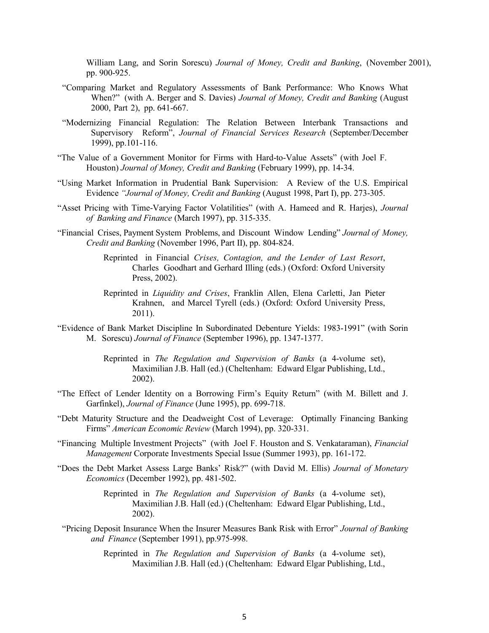William Lang, and Sorin Sorescu) Journal of Money, Credit and Banking, (November 2001), pp. 900-925.

- "Comparing Market and Regulatory Assessments of Bank Performance: Who Knows What When?" (with A. Berger and S. Davies) Journal of Money, Credit and Banking (August 2000, Part 2), pp. 641-667.
- "Modernizing Financial Regulation: The Relation Between Interbank Transactions and Supervisory Reform", Journal of Financial Services Research (September/December 1999), pp.101-116.
- "The Value of a Government Monitor for Firms with Hard-to-Value Assets" (with Joel F. Houston) Journal of Money, Credit and Banking (February 1999), pp. 14-34.
- "Using Market Information in Prudential Bank Supervision: A Review of the U.S. Empirical Evidence "Journal of Money, Credit and Banking (August 1998, Part I), pp. 273-305.
- "Asset Pricing with Time-Varying Factor Volatilities" (with A. Hameed and R. Harjes), Journal of Banking and Finance (March 1997), pp. 315-335.
- "Financial Crises, Payment System Problems, and Discount Window Lending" Journal of Money, Credit and Banking (November 1996, Part II), pp. 804-824.
	- Reprinted in Financial Crises, Contagion, and the Lender of Last Resort, Charles Goodhart and Gerhard Illing (eds.) (Oxford: Oxford University Press, 2002).
	- Reprinted in Liquidity and Crises, Franklin Allen, Elena Carletti, Jan Pieter Krahnen, and Marcel Tyrell (eds.) (Oxford: Oxford University Press, 2011).
- "Evidence of Bank Market Discipline In Subordinated Debenture Yields: 1983-1991" (with Sorin M. Sorescu) Journal of Finance (September 1996), pp. 1347-1377.
	- Reprinted in The Regulation and Supervision of Banks (a 4-volume set), Maximilian J.B. Hall (ed.) (Cheltenham: Edward Elgar Publishing, Ltd., 2002).
- "The Effect of Lender Identity on a Borrowing Firm's Equity Return" (with M. Billett and J. Garfinkel), Journal of Finance (June 1995), pp. 699-718.
- "Debt Maturity Structure and the Deadweight Cost of Leverage: Optimally Financing Banking Firms" American Economic Review (March 1994), pp. 320-331.
- "Financing Multiple Investment Projects" (with Joel F. Houston and S. Venkataraman), Financial Management Corporate Investments Special Issue (Summer 1993), pp. 161-172.
- "Does the Debt Market Assess Large Banks' Risk?" (with David M. Ellis) Journal of Monetary Economics (December 1992), pp. 481-502.

Reprinted in The Regulation and Supervision of Banks (a 4-volume set), Maximilian J.B. Hall (ed.) (Cheltenham: Edward Elgar Publishing, Ltd., 2002).

"Pricing Deposit Insurance When the Insurer Measures Bank Risk with Error" Journal of Banking and Finance (September 1991), pp.975-998.

> Reprinted in The Regulation and Supervision of Banks (a 4-volume set), Maximilian J.B. Hall (ed.) (Cheltenham: Edward Elgar Publishing, Ltd.,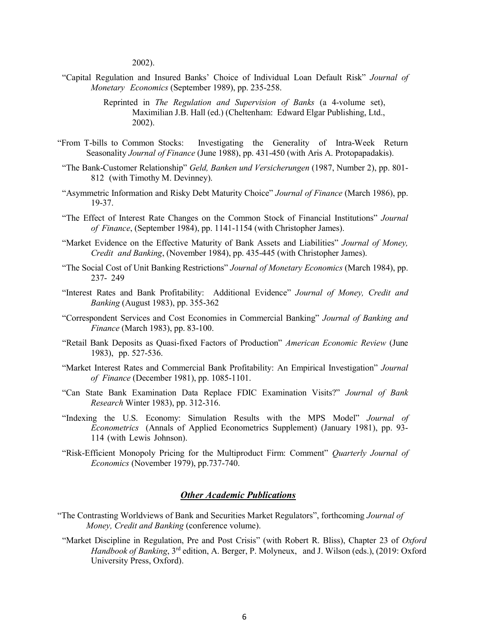2002).

"Capital Regulation and Insured Banks' Choice of Individual Loan Default Risk" Journal of Monetary Economics (September 1989), pp. 235-258.

- "From T-bills to Common Stocks: Investigating the Generality of Intra-Week Return Seasonality Journal of Finance (June 1988), pp. 431-450 (with Aris A. Protopapadakis).
- "The Bank-Customer Relationship" Geld, Banken und Versicherungen (1987, Number 2), pp. 801- 812 (with Timothy M. Devinney).
- "Asymmetric Information and Risky Debt Maturity Choice" Journal of Finance (March 1986), pp. 19-37.
- "The Effect of Interest Rate Changes on the Common Stock of Financial Institutions" Journal of Finance, (September 1984), pp. 1141-1154 (with Christopher James).
- "Market Evidence on the Effective Maturity of Bank Assets and Liabilities" Journal of Money, Credit and Banking, (November 1984), pp. 435-445 (with Christopher James).
- "The Social Cost of Unit Banking Restrictions" Journal of Monetary Economics (March 1984), pp. 237- 249
- "Interest Rates and Bank Profitability: Additional Evidence" Journal of Money, Credit and Banking (August 1983), pp. 355-362
- "Correspondent Services and Cost Economies in Commercial Banking" Journal of Banking and Finance (March 1983), pp. 83-100.
- "Retail Bank Deposits as Quasi-fixed Factors of Production" American Economic Review (June 1983), pp. 527-536.
- "Market Interest Rates and Commercial Bank Profitability: An Empirical Investigation" Journal of Finance (December 1981), pp. 1085-1101.
- "Can State Bank Examination Data Replace FDIC Examination Visits?" Journal of Bank Research Winter 1983), pp. 312-316.
- "Indexing the U.S. Economy: Simulation Results with the MPS Model" Journal of Econometrics (Annals of Applied Econometrics Supplement) (January 1981), pp. 93- 114 (with Lewis Johnson).
- "Risk-Efficient Monopoly Pricing for the Multiproduct Firm: Comment" Quarterly Journal of Economics (November 1979), pp.737-740.

## **Other Academic Publications**

- "The Contrasting Worldviews of Bank and Securities Market Regulators", forthcoming Journal of Money, Credit and Banking (conference volume).
- "Market Discipline in Regulation, Pre and Post Crisis" (with Robert R. Bliss), Chapter 23 of Oxford Handbook of Banking, 3<sup>rd</sup> edition, A. Berger, P. Molyneux, and J. Wilson (eds.), (2019: Oxford University Press, Oxford).

Reprinted in The Regulation and Supervision of Banks (a 4-volume set), Maximilian J.B. Hall (ed.) (Cheltenham: Edward Elgar Publishing, Ltd., 2002).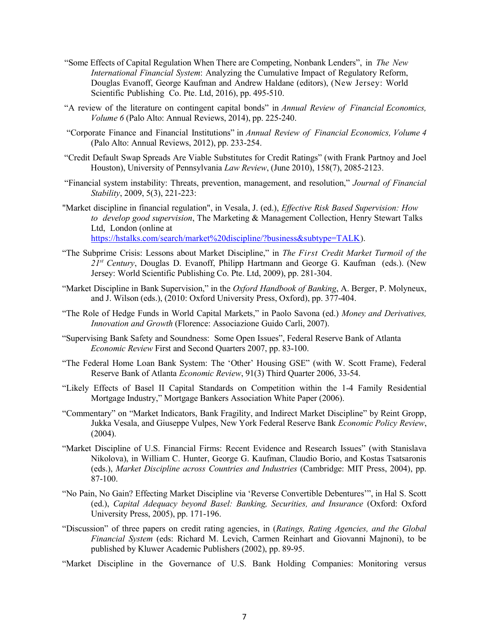- "Some Effects of Capital Regulation When There are Competing, Nonbank Lenders", in The New International Financial System: Analyzing the Cumulative Impact of Regulatory Reform, Douglas Evanoff, George Kaufman and Andrew Haldane (editors), (New Jersey: World Scientific Publishing Co. Pte. Ltd, 2016), pp. 495-510.
- "A review of the literature on contingent capital bonds" in Annual Review of Financial Economics, Volume 6 (Palo Alto: Annual Reviews, 2014), pp. 225-240.
- "Corporate Finance and Financial Institutions" in Annual Review of Financial Economics, Volume 4 (Palo Alto: Annual Reviews, 2012), pp. 233-254.
- "Credit Default Swap Spreads Are Viable Substitutes for Credit Ratings" (with Frank Partnoy and Joel Houston), University of Pennsylvania Law Review, (June 2010), 158(7), 2085-2123.
- "Financial system instability: Threats, prevention, management, and resolution," Journal of Financial Stability, 2009, 5(3), 221-223:
- "Market discipline in financial regulation", in Vesala, J. (ed.), Effective Risk Based Supervision: How to develop good supervision, The Marketing & Management Collection, Henry Stewart Talks Ltd, London (online at https://hstalks.com/search/market%20discipline/?business&subtype=TALK).
- "The Subprime Crisis: Lessons about Market Discipline," in The First Credit Market Turmoil of the  $2I<sup>st</sup>$  Century, Douglas D. Evanoff, Philipp Hartmann and George G. Kaufman (eds.). (New Jersey: World Scientific Publishing Co. Pte. Ltd, 2009), pp. 281-304.
- "Market Discipline in Bank Supervision," in the *Oxford Handbook of Banking*, A. Berger, P. Molyneux, and J. Wilson (eds.), (2010: Oxford University Press, Oxford), pp. 377-404.
- "The Role of Hedge Funds in World Capital Markets," in Paolo Savona (ed.) Money and Derivatives, Innovation and Growth (Florence: Associazione Guido Carli, 2007).
- "Supervising Bank Safety and Soundness: Some Open Issues", Federal Reserve Bank of Atlanta Economic Review First and Second Quarters 2007, pp. 83-100.
- "The Federal Home Loan Bank System: The 'Other' Housing GSE" (with W. Scott Frame), Federal Reserve Bank of Atlanta Economic Review, 91(3) Third Quarter 2006, 33-54.
- "Likely Effects of Basel II Capital Standards on Competition within the 1-4 Family Residential Mortgage Industry," Mortgage Bankers Association White Paper (2006).
- "Commentary" on "Market Indicators, Bank Fragility, and Indirect Market Discipline" by Reint Gropp, Jukka Vesala, and Giuseppe Vulpes, New York Federal Reserve Bank Economic Policy Review, (2004).
- "Market Discipline of U.S. Financial Firms: Recent Evidence and Research Issues" (with Stanislava Nikolova), in William C. Hunter, George G. Kaufman, Claudio Borio, and Kostas Tsatsaronis (eds.), Market Discipline across Countries and Industries (Cambridge: MIT Press, 2004), pp. 87-100.
- "No Pain, No Gain? Effecting Market Discipline via 'Reverse Convertible Debentures'", in Hal S. Scott (ed.), Capital Adequacy beyond Basel: Banking, Securities, and Insurance (Oxford: Oxford University Press, 2005), pp. 171-196.
- "Discussion" of three papers on credit rating agencies, in (Ratings, Rating Agencies, and the Global Financial System (eds: Richard M. Levich, Carmen Reinhart and Giovanni Majnoni), to be published by Kluwer Academic Publishers (2002), pp. 89-95.
- "Market Discipline in the Governance of U.S. Bank Holding Companies: Monitoring versus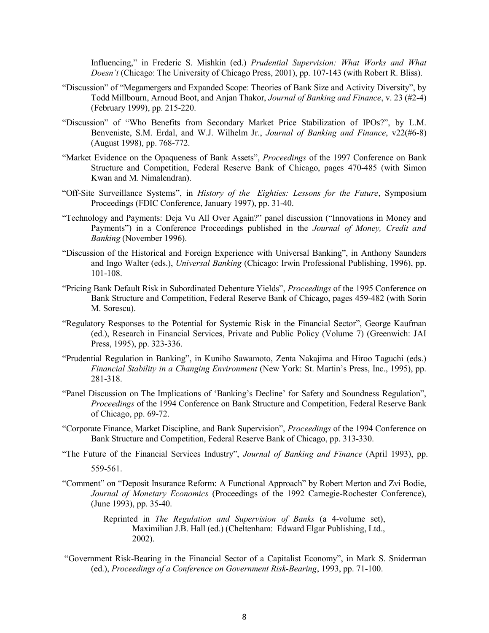Influencing," in Frederic S. Mishkin (ed.) Prudential Supervision: What Works and What Doesn't (Chicago: The University of Chicago Press, 2001), pp. 107-143 (with Robert R. Bliss).

- "Discussion" of "Megamergers and Expanded Scope: Theories of Bank Size and Activity Diversity", by Todd Millbourn, Arnoud Boot, and Anjan Thakor, Journal of Banking and Finance, v. 23 (#2-4) (February 1999), pp. 215-220.
- "Discussion" of "Who Benefits from Secondary Market Price Stabilization of IPOs?", by L.M. Benveniste, S.M. Erdal, and W.J. Wilhelm Jr., Journal of Banking and Finance, v22(#6-8) (August 1998), pp. 768-772.
- "Market Evidence on the Opaqueness of Bank Assets", Proceedings of the 1997 Conference on Bank Structure and Competition, Federal Reserve Bank of Chicago, pages 470-485 (with Simon Kwan and M. Nimalendran).
- "Off-Site Surveillance Systems", in History of the Eighties: Lessons for the Future, Symposium Proceedings (FDIC Conference, January 1997), pp. 31-40.
- "Technology and Payments: Deja Vu All Over Again?" panel discussion ("Innovations in Money and Payments") in a Conference Proceedings published in the Journal of Money, Credit and Banking (November 1996).
- "Discussion of the Historical and Foreign Experience with Universal Banking", in Anthony Saunders and Ingo Walter (eds.), Universal Banking (Chicago: Irwin Professional Publishing, 1996), pp. 101-108.
- "Pricing Bank Default Risk in Subordinated Debenture Yields", Proceedings of the 1995 Conference on Bank Structure and Competition, Federal Reserve Bank of Chicago, pages 459-482 (with Sorin M. Sorescu).
- "Regulatory Responses to the Potential for Systemic Risk in the Financial Sector", George Kaufman (ed.), Research in Financial Services, Private and Public Policy (Volume 7) (Greenwich: JAI Press, 1995), pp. 323-336.
- "Prudential Regulation in Banking", in Kuniho Sawamoto, Zenta Nakajima and Hiroo Taguchi (eds.) Financial Stability in a Changing Environment (New York: St. Martin's Press, Inc., 1995), pp. 281-318.
- "Panel Discussion on The Implications of 'Banking's Decline' for Safety and Soundness Regulation", Proceedings of the 1994 Conference on Bank Structure and Competition, Federal Reserve Bank of Chicago, pp. 69-72.
- "Corporate Finance, Market Discipline, and Bank Supervision", Proceedings of the 1994 Conference on Bank Structure and Competition, Federal Reserve Bank of Chicago, pp. 313-330.
- "The Future of the Financial Services Industry", Journal of Banking and Finance (April 1993), pp. 559-561.
- "Comment" on "Deposit Insurance Reform: A Functional Approach" by Robert Merton and Zvi Bodie, Journal of Monetary Economics (Proceedings of the 1992 Carnegie-Rochester Conference), (June 1993), pp. 35-40.
	- Reprinted in The Regulation and Supervision of Banks (a 4-volume set), Maximilian J.B. Hall (ed.) (Cheltenham: Edward Elgar Publishing, Ltd., 2002).
- "Government Risk-Bearing in the Financial Sector of a Capitalist Economy", in Mark S. Sniderman (ed.), Proceedings of a Conference on Government Risk-Bearing, 1993, pp. 71-100.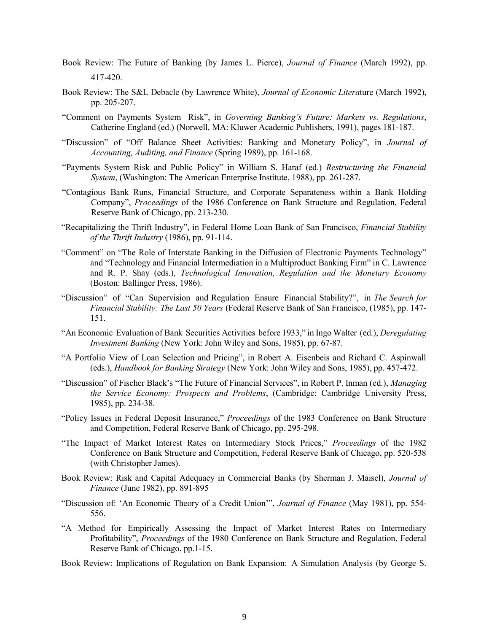- Book Review: The Future of Banking (by James L. Pierce), Journal of Finance (March 1992), pp. 417-420.
- Book Review: The S&L Debacle (by Lawrence White), Journal of Economic Literature (March 1992), pp. 205-207.
- "Comment on Payments System Risk", in Governing Banking's Future: Markets vs. Regulations, Catherine England (ed.) (Norwell, MA: Kluwer Academic Publishers, 1991), pages 181-187.
- "Discussion" of "Off Balance Sheet Activities: Banking and Monetary Policy", in Journal of Accounting, Auditing, and Finance (Spring 1989), pp. 161-168.
- "Payments System Risk and Public Policy" in William S. Haraf (ed.) Restructuring the Financial System, (Washington: The American Enterprise Institute, 1988), pp. 261-287.
- "Contagious Bank Runs, Financial Structure, and Corporate Separateness within a Bank Holding Company", Proceedings of the 1986 Conference on Bank Structure and Regulation, Federal Reserve Bank of Chicago, pp. 213-230.
- "Recapitalizing the Thrift Industry", in Federal Home Loan Bank of San Francisco, Financial Stability of the Thrift Industry (1986), pp. 91-114.
- "Comment" on "The Role of Interstate Banking in the Diffusion of Electronic Payments Technology" and "Technology and Financial Intermediation in a Multiproduct Banking Firm" in C. Lawrence and R. P. Shay (eds.), Technological Innovation, Regulation and the Monetary Economy (Boston: Ballinger Press, 1986).
- "Discussion" of "Can Supervision and Regulation Ensure Financial Stability?", in The Search for Financial Stability: The Last 50 Years (Federal Reserve Bank of San Francisco, (1985), pp. 147- 151.
- "An Economic Evaluation of Bank Securities Activities before 1933," in Ingo Walter (ed.), Deregulating Investment Banking (New York: John Wiley and Sons, 1985), pp. 67-87.
- "A Portfolio View of Loan Selection and Pricing", in Robert A. Eisenbeis and Richard C. Aspinwall (eds.), Handbook for Banking Strategy (New York: John Wiley and Sons, 1985), pp. 457-472.
- "Discussion" of Fischer Black's "The Future of Financial Services", in Robert P. Inman (ed.), Managing the Service Economy: Prospects and Problems, (Cambridge: Cambridge University Press, 1985), pp. 234-38.
- "Policy Issues in Federal Deposit Insurance," Proceedings of the 1983 Conference on Bank Structure and Competition, Federal Reserve Bank of Chicago, pp. 295-298.
- "The Impact of Market Interest Rates on Intermediary Stock Prices," Proceedings of the 1982 Conference on Bank Structure and Competition, Federal Reserve Bank of Chicago, pp. 520-538 (with Christopher James).
- Book Review: Risk and Capital Adequacy in Commercial Banks (by Sherman J. Maisel), Journal of Finance (June 1982), pp. 891-895
- "Discussion of: 'An Economic Theory of a Credit Union'", Journal of Finance (May 1981), pp. 554- 556.
- "A Method for Empirically Assessing the Impact of Market Interest Rates on Intermediary Profitability", Proceedings of the 1980 Conference on Bank Structure and Regulation, Federal Reserve Bank of Chicago, pp.1-15.
- Book Review: Implications of Regulation on Bank Expansion: A Simulation Analysis (by George S.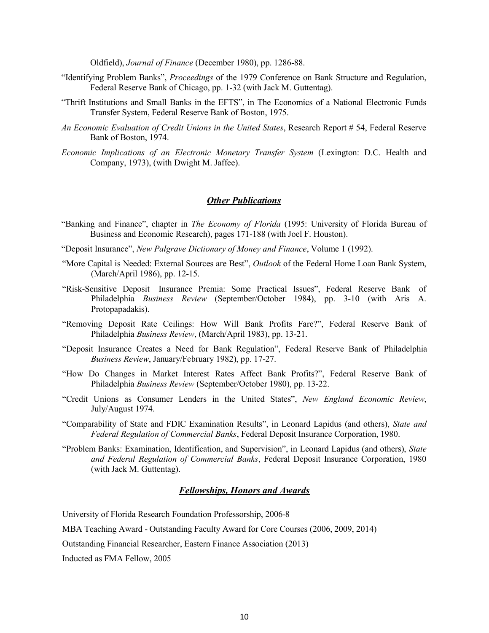Oldfield), Journal of Finance (December 1980), pp. 1286-88.

- "Identifying Problem Banks", Proceedings of the 1979 Conference on Bank Structure and Regulation, Federal Reserve Bank of Chicago, pp. 1-32 (with Jack M. Guttentag).
- "Thrift Institutions and Small Banks in the EFTS", in The Economics of a National Electronic Funds Transfer System, Federal Reserve Bank of Boston, 1975.
- An Economic Evaluation of Credit Unions in the United States, Research Report # 54, Federal Reserve Bank of Boston, 1974.
- Economic Implications of an Electronic Monetary Transfer System (Lexington: D.C. Health and Company, 1973), (with Dwight M. Jaffee).

#### **Other Publications**

- "Banking and Finance", chapter in The Economy of Florida (1995: University of Florida Bureau of Business and Economic Research), pages 171-188 (with Joel F. Houston).
- "Deposit Insurance", New Palgrave Dictionary of Money and Finance, Volume 1 (1992).
- "More Capital is Needed: External Sources are Best", Outlook of the Federal Home Loan Bank System, (March/April 1986), pp. 12-15.
- "Risk-Sensitive Deposit Insurance Premia: Some Practical Issues", Federal Reserve Bank of Philadelphia Business Review (September/October 1984), pp. 3-10 (with Aris A. Protopapadakis).
- "Removing Deposit Rate Ceilings: How Will Bank Profits Fare?", Federal Reserve Bank of Philadelphia Business Review, (March/April 1983), pp. 13-21.
- "Deposit Insurance Creates a Need for Bank Regulation", Federal Reserve Bank of Philadelphia Business Review, January/February 1982), pp. 17-27.
- "How Do Changes in Market Interest Rates Affect Bank Profits?", Federal Reserve Bank of Philadelphia Business Review (September/October 1980), pp. 13-22.
- "Credit Unions as Consumer Lenders in the United States", New England Economic Review, July/August 1974.
- "Comparability of State and FDIC Examination Results", in Leonard Lapidus (and others), State and Federal Regulation of Commercial Banks, Federal Deposit Insurance Corporation, 1980.
- "Problem Banks: Examination, Identification, and Supervision", in Leonard Lapidus (and others), State and Federal Regulation of Commercial Banks, Federal Deposit Insurance Corporation, 1980 (with Jack M. Guttentag).

#### Fellowships, Honors and Awards

University of Florida Research Foundation Professorship, 2006-8

MBA Teaching Award - Outstanding Faculty Award for Core Courses (2006, 2009, 2014)

Outstanding Financial Researcher, Eastern Finance Association (2013)

Inducted as FMA Fellow, 2005